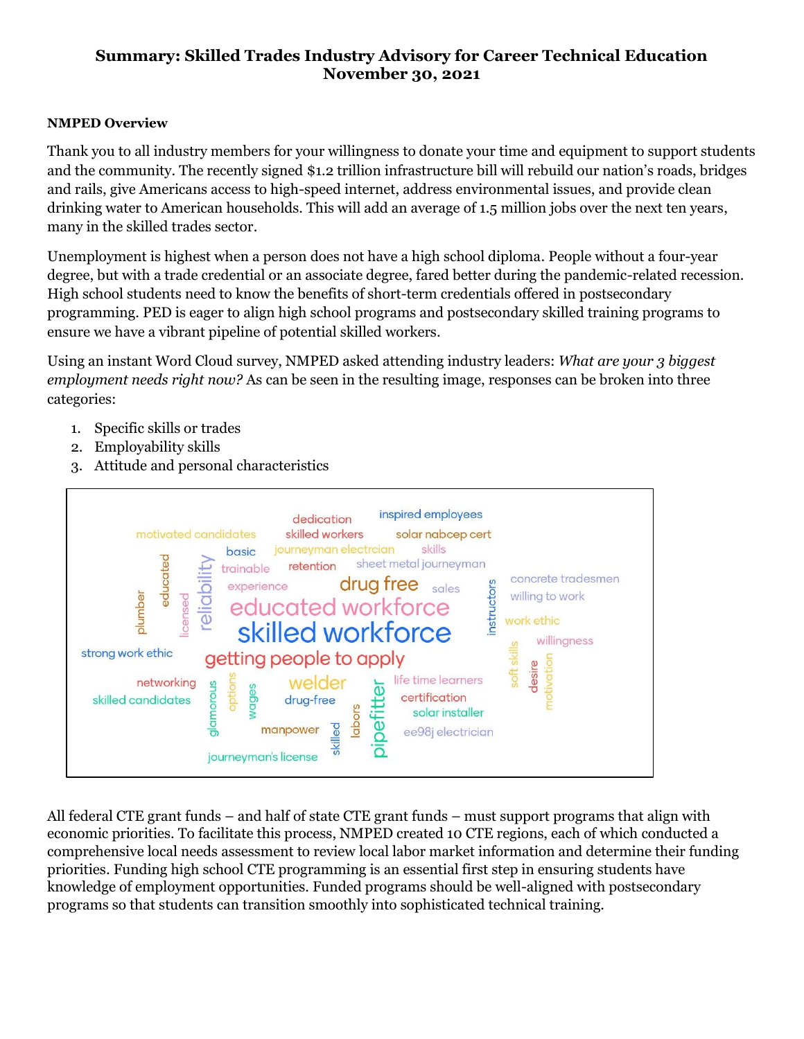## **Summary: Skilled Trades Industry Advisory for Career Technical Education November 30, 2021**

## **NMPED Overview**

Thank you to all industry members for your willingness to donate your time and equipment to support students and the community. The recently signed \$1.2 trillion infrastructure bill will rebuild our nation's roads, bridges and rails, give Americans access to high-speed internet, address environmental issues, and provide clean drinking water to American households. This will add an average of 1.5 million jobs over the next ten years, many in the skilled trades sector.

Unemployment is highest when a person does not have a high school diploma. People without a four-year degree, but with a trade credential or an associate degree, fared better during the pandemic-related recession. High school students need to know the benefits of short-term credentials offered in postsecondary programming. PED is eager to align high school programs and postsecondary skilled training programs to ensure we have a vibrant pipeline of potential skilled workers.

Using an instant Word Cloud survey, NMPED asked attending industry leaders: *What are your 3 biggest employment needs right now?* As can be seen in the resulting image, responses can be broken into three categories:

- 1. Specific skills or trades
- 2. Employability skills
- 3. Attitude and personal characteristics



All federal CTE grant funds – and half of state CTE grant funds – must support programs that align with economic priorities. To facilitate this process, NMPED created 10 CTE regions, each of which conducted a comprehensive local needs assessment to review local labor market information and determine their funding priorities. Funding high school CTE programming is an essential first step in ensuring students have knowledge of employment opportunities. Funded programs should be well-aligned with postsecondary programs so that students can transition smoothly into sophisticated technical training.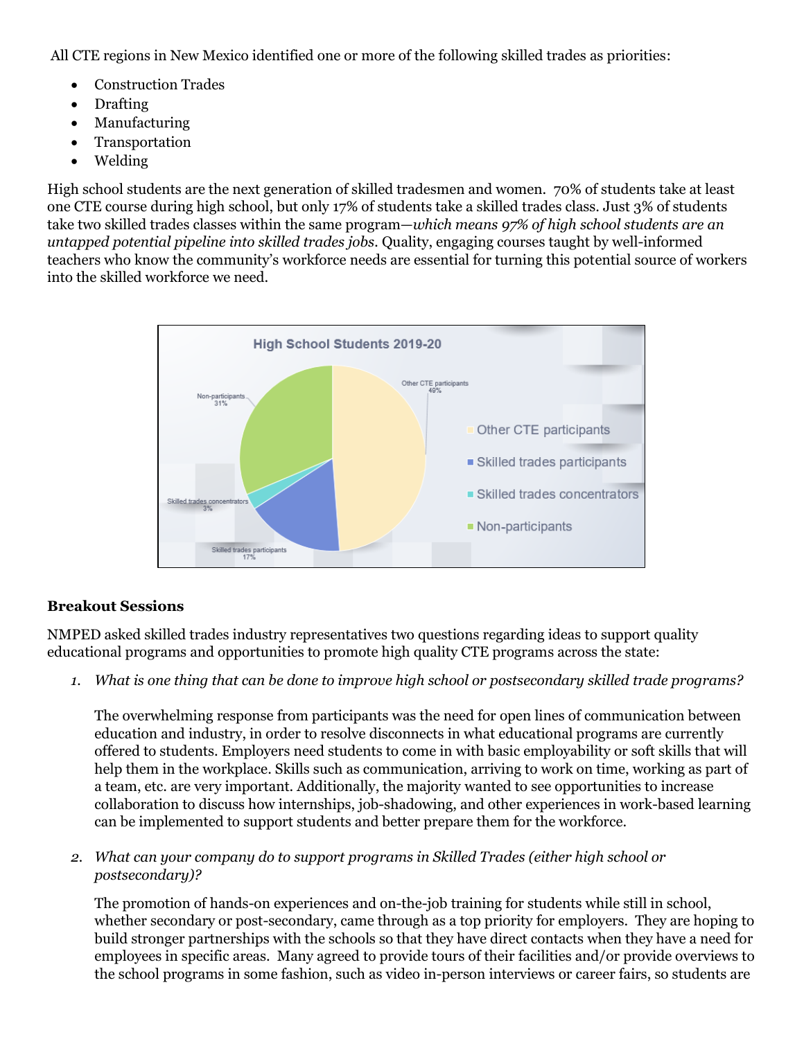All CTE regions in New Mexico identified one or more of the following skilled trades as priorities:

- Construction Trades
- Drafting
- Manufacturing
- Transportation
- Welding

High school students are the next generation of skilled tradesmen and women. 70% of students take at least one CTE course during high school, but only 17% of students take a skilled trades class. Just 3% of students take two skilled trades classes within the same program—*which means 97% of high school students are an untapped potential pipeline into skilled trades jobs.* Quality, engaging courses taught by well-informed teachers who know the community's workforce needs are essential for turning this potential source of workers into the skilled workforce we need.



## **Breakout Sessions**

NMPED asked skilled trades industry representatives two questions regarding ideas to support quality educational programs and opportunities to promote high quality CTE programs across the state:

*1. What is one thing that can be done to improve high school or postsecondary skilled trade programs?*

The overwhelming response from participants was the need for open lines of communication between education and industry, in order to resolve disconnects in what educational programs are currently offered to students. Employers need students to come in with basic employability or soft skills that will help them in the workplace. Skills such as communication, arriving to work on time, working as part of a team, etc. are very important. Additionally, the majority wanted to see opportunities to increase collaboration to discuss how internships, job-shadowing, and other experiences in work-based learning can be implemented to support students and better prepare them for the workforce.

*2. What can your company do to support programs in Skilled Trades (either high school or postsecondary)?*

The promotion of hands-on experiences and on-the-job training for students while still in school, whether secondary or post-secondary, came through as a top priority for employers. They are hoping to build stronger partnerships with the schools so that they have direct contacts when they have a need for employees in specific areas. Many agreed to provide tours of their facilities and/or provide overviews to the school programs in some fashion, such as video in-person interviews or career fairs, so students are